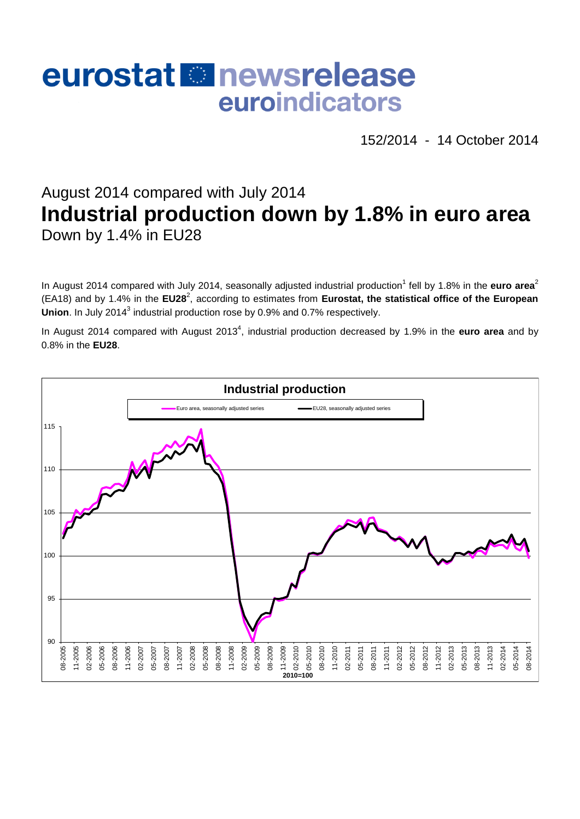# eurostat **E**newsrelease euroindicators

152/2014 - 14 October 2014

# August 2014 compared with July 2014 **Industrial production down by 1.8% in euro area** Down by 1.4% in EU28

In August 2014 compared with July 2014, seasonally adjusted industrial production<sup>1</sup> fell by 1.8% in the euro area<sup>2</sup> (EA18) and by 1.4% in the EU28<sup>2</sup>, according to estimates from Eurostat, the statistical office of the European Union. In July 2014<sup>3</sup> industrial production rose by 0.9% and 0.7% respectively.

In August 2014 compared with August 2013<sup>4</sup>, industrial production decreased by 1.9% in the **euro area** and by 0.8% in the **EU28**.

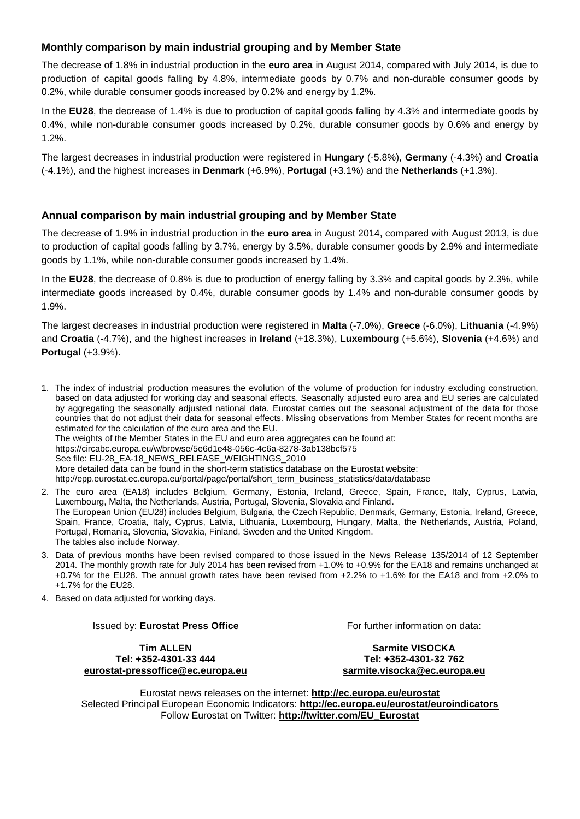# **Monthly comparison by main industrial grouping and by Member State**

The decrease of 1.8% in industrial production in the **euro area** in August 2014, compared with July 2014, is due to production of capital goods falling by 4.8%, intermediate goods by 0.7% and non-durable consumer goods by 0.2%, while durable consumer goods increased by 0.2% and energy by 1.2%.

In the **EU28**, the decrease of 1.4% is due to production of capital goods falling by 4.3% and intermediate goods by 0.4%, while non-durable consumer goods increased by 0.2%, durable consumer goods by 0.6% and energy by 1.2%.

The largest decreases in industrial production were registered in **Hungary** (-5.8%), **Germany** (-4.3%) and **Croatia** (-4.1%), and the highest increases in **Denmark** (+6.9%), **Portugal** (+3.1%) and the **Netherlands** (+1.3%).

# **Annual comparison by main industrial grouping and by Member State**

The decrease of 1.9% in industrial production in the **euro area** in August 2014, compared with August 2013, is due to production of capital goods falling by 3.7%, energy by 3.5%, durable consumer goods by 2.9% and intermediate goods by 1.1%, while non-durable consumer goods increased by 1.4%.

In the **EU28**, the decrease of 0.8% is due to production of energy falling by 3.3% and capital goods by 2.3%, while intermediate goods increased by 0.4%, durable consumer goods by 1.4% and non-durable consumer goods by 1.9%.

The largest decreases in industrial production were registered in **Malta** (-7.0%), **Greece** (-6.0%), **Lithuania** (-4.9%) and **Croatia** (-4.7%), and the highest increases in **Ireland** (+18.3%), **Luxembourg** (+5.6%), **Slovenia** (+4.6%) and **Portugal** (+3.9%).

- 1. The index of industrial production measures the evolution of the volume of production for industry excluding construction, based on data adjusted for working day and seasonal effects. Seasonally adjusted euro area and EU series are calculated by aggregating the seasonally adjusted national data. Eurostat carries out the seasonal adjustment of the data for those countries that do not adjust their data for seasonal effects. Missing observations from Member States for recent months are estimated for the calculation of the euro area and the EU. The weights of the Member States in the EU and euro area aggregates can be found at: <https://circabc.europa.eu/w/browse/5e6d1e48-056c-4c6a-8278-3ab138bcf575> See file: EU-28\_EA-18\_NEWS\_RELEASE\_WEIGHTINGS\_2010 More detailed data can be found in the short-term statistics database on the Eurostat website: [http://epp.eurostat.ec.europa.eu/portal/page/portal/short\\_term\\_business\\_statistics/data/database](http://epp.eurostat.ec.europa.eu/portal/page/portal/short_term_business_statistics/data/database)
- 2. The euro area (EA18) includes Belgium, Germany, Estonia, Ireland, Greece, Spain, France, Italy, Cyprus, Latvia, Luxembourg, Malta, the Netherlands, Austria, Portugal, Slovenia, Slovakia and Finland. The European Union (EU28) includes Belgium, Bulgaria, the Czech Republic, Denmark, Germany, Estonia, Ireland, Greece, Spain, France, Croatia, Italy, Cyprus, Latvia, Lithuania, Luxembourg, Hungary, Malta, the Netherlands, Austria, Poland, Portugal, Romania, Slovenia, Slovakia, Finland, Sweden and the United Kingdom. The tables also include Norway.
- 3. Data of previous months have been revised compared to those issued in the News Release 135/2014 of 12 September 2014. The monthly growth rate for July 2014 has been revised from +1.0% to +0.9% for the EA18 and remains unchanged at +0.7% for the EU28. The annual growth rates have been revised from +2.2% to +1.6% for the EA18 and from +2.0% to +1.7% for the EU28.
- 4. Based on data adjusted for working days.

#### Issued by: **Eurostat Press Office**

**Tim ALLEN Tel: +352-4301-33 444 [eurostat-pressoffice@ec.europa.eu](mailto:eurostat-pressoffice@ec.europa.eu)** For further information on data:

**Sarmite VISOCKA Tel: +352-4301-32 762 [sarmite.visocka@ec.europa.eu](mailto:sarmite.visocka@ec.europa.eu)**

Eurostat news releases on the internet: **<http://ec.europa.eu/eurostat>** Selected Principal European Economic Indicators: **<http://ec.europa.eu/eurostat/euroindicators>** Follow Eurostat on Twitter: **[http://twitter.com/EU\\_Eurostat](http://twitter.com/EU_Eurostat)**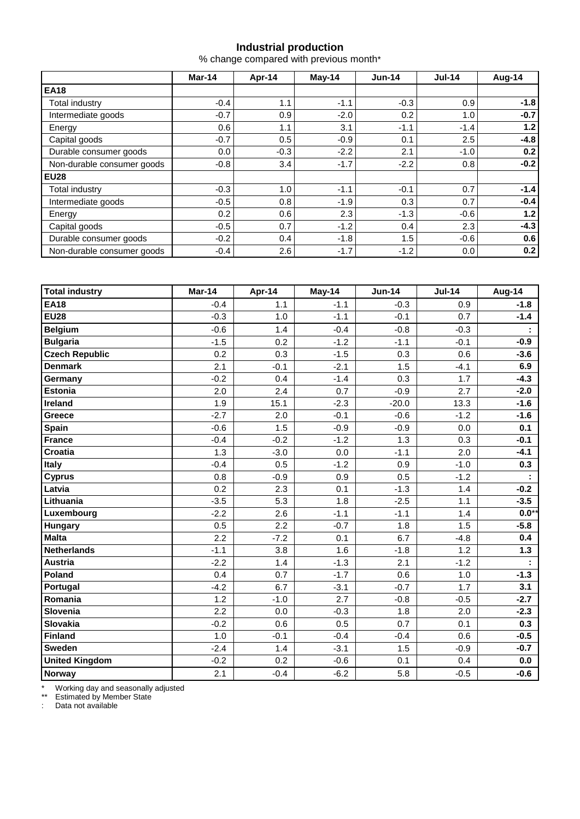# **Industrial production**

% change compared with previous month\*

|                            | Mar-14 | Apr-14 | $May-14$ | $Jun-14$ | $Jul-14$ | Aug-14 |
|----------------------------|--------|--------|----------|----------|----------|--------|
| <b>EA18</b>                |        |        |          |          |          |        |
| Total industry             | $-0.4$ | 1.1    | $-1.1$   | $-0.3$   | 0.9      | $-1.8$ |
| Intermediate goods         | $-0.7$ | 0.9    | $-2.0$   | 0.2      | 1.0      | $-0.7$ |
| Energy                     | 0.6    | 1.1    | 3.1      | $-1.1$   | $-1.4$   | 1.2    |
| Capital goods              | $-0.7$ | 0.5    | $-0.9$   | 0.1      | 2.5      | $-4.8$ |
| Durable consumer goods     | 0.0    | $-0.3$ | $-2.2$   | 2.1      | $-1.0$   | 0.2    |
| Non-durable consumer goods | $-0.8$ | 3.4    | $-1.7$   | $-2.2$   | 0.8      | $-0.2$ |
| <b>EU28</b>                |        |        |          |          |          |        |
| Total industry             | $-0.3$ | 1.0    | $-1.1$   | $-0.1$   | 0.7      | $-1.4$ |
| Intermediate goods         | $-0.5$ | 0.8    | $-1.9$   | 0.3      | 0.7      | $-0.4$ |
| Energy                     | 0.2    | 0.6    | 2.3      | $-1.3$   | $-0.6$   | 1.2    |
| Capital goods              | $-0.5$ | 0.7    | $-1.2$   | 0.4      | 2.3      | $-4.3$ |
| Durable consumer goods     | $-0.2$ | 0.4    | $-1.8$   | 1.5      | $-0.6$   | 0.6    |
| Non-durable consumer goods | $-0.4$ | 2.6    | $-1.7$   | $-1.2$   | 0.0      | 0.2    |

| <b>Total industry</b> | Mar-14 | Apr-14 | May-14 | <b>Jun-14</b> | <b>Jul-14</b> | Aug-14  |
|-----------------------|--------|--------|--------|---------------|---------------|---------|
| <b>EA18</b>           | $-0.4$ | 1.1    | $-1.1$ | $-0.3$        | 0.9           | $-1.8$  |
| <b>EU28</b>           | $-0.3$ | 1.0    | $-1.1$ | $-0.1$        | 0.7           | $-1.4$  |
| <b>Belgium</b>        | $-0.6$ | 1.4    | $-0.4$ | $-0.8$        | $-0.3$        | ÷       |
| <b>Bulgaria</b>       | $-1.5$ | 0.2    | $-1.2$ | $-1.1$        | $-0.1$        | $-0.9$  |
| <b>Czech Republic</b> | 0.2    | 0.3    | $-1.5$ | 0.3           | 0.6           | $-3.6$  |
| <b>Denmark</b>        | 2.1    | $-0.1$ | $-2.1$ | 1.5           | $-4.1$        | 6.9     |
| Germany               | $-0.2$ | 0.4    | $-1.4$ | 0.3           | 1.7           | $-4.3$  |
| <b>Estonia</b>        | 2.0    | 2.4    | 0.7    | $-0.9$        | 2.7           | $-2.0$  |
| Ireland               | 1.9    | 15.1   | $-2.3$ | $-20.0$       | 13.3          | $-1.6$  |
| Greece                | $-2.7$ | 2.0    | $-0.1$ | $-0.6$        | $-1.2$        | $-1.6$  |
| <b>Spain</b>          | $-0.6$ | 1.5    | $-0.9$ | $-0.9$        | 0.0           | 0.1     |
| <b>France</b>         | $-0.4$ | $-0.2$ | $-1.2$ | 1.3           | 0.3           | $-0.1$  |
| Croatia               | 1.3    | $-3.0$ | 0.0    | $-1.1$        | 2.0           | $-4.1$  |
| <b>Italy</b>          | $-0.4$ | 0.5    | $-1.2$ | 0.9           | $-1.0$        | 0.3     |
| <b>Cyprus</b>         | 0.8    | $-0.9$ | 0.9    | 0.5           | $-1.2$        |         |
| Latvia                | 0.2    | 2.3    | 0.1    | $-1.3$        | 1.4           | $-0.2$  |
| Lithuania             | $-3.5$ | 5.3    | 1.8    | $-2.5$        | 1.1           | $-3.5$  |
| Luxembourg            | $-2.2$ | 2.6    | $-1.1$ | $-1.1$        | 1.4           | $0.0**$ |
| <b>Hungary</b>        | 0.5    | 2.2    | $-0.7$ | 1.8           | 1.5           | $-5.8$  |
| <b>Malta</b>          | 2.2    | $-7.2$ | 0.1    | 6.7           | $-4.8$        | 0.4     |
| Netherlands           | $-1.1$ | 3.8    | 1.6    | $-1.8$        | 1.2           | $1.3$   |
| <b>Austria</b>        | $-2.2$ | 1.4    | $-1.3$ | 2.1           | $-1.2$        |         |
| Poland                | 0.4    | 0.7    | $-1.7$ | 0.6           | 1.0           | $-1.3$  |
| Portugal              | $-4.2$ | 6.7    | $-3.1$ | $-0.7$        | 1.7           | 3.1     |
| Romania               | 1.2    | $-1.0$ | 2.7    | $-0.8$        | $-0.5$        | $-2.7$  |
| Slovenia              | 2.2    | 0.0    | $-0.3$ | 1.8           | 2.0           | $-2.3$  |
| Slovakia              | $-0.2$ | 0.6    | 0.5    | 0.7           | 0.1           | 0.3     |
| Finland               | 1.0    | $-0.1$ | $-0.4$ | $-0.4$        | 0.6           | $-0.5$  |
| <b>Sweden</b>         | $-2.4$ | 1.4    | $-3.1$ | 1.5           | $-0.9$        | $-0.7$  |
| <b>United Kingdom</b> | $-0.2$ | 0.2    | $-0.6$ | 0.1           | 0.4           | 0.0     |
| Norway                | 2.1    | $-0.4$ | $-6.2$ | 5.8           | $-0.5$        | $-0.6$  |

\* Working day and seasonally adjusted

\*\* Estimated by Member State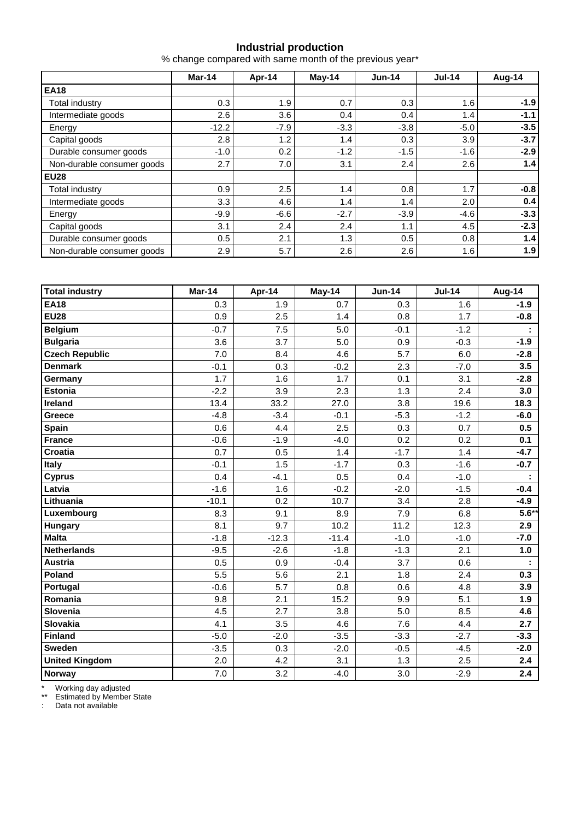## **Industrial production**

% change compared with same month of the previous year\*

|                            | Mar-14  | Apr-14 | May-14 | $Jun-14$ | $Jul-14$ | Aug-14 |  |
|----------------------------|---------|--------|--------|----------|----------|--------|--|
| <b>EA18</b>                |         |        |        |          |          |        |  |
| Total industry             | 0.3     | 1.9    | 0.7    | 0.3      | 1.6      | $-1.9$ |  |
| Intermediate goods         | 2.6     | 3.6    | 0.4    | 0.4      | 1.4      | $-1.1$ |  |
| Energy                     | $-12.2$ | $-7.9$ | $-3.3$ | $-3.8$   | $-5.0$   | $-3.5$ |  |
| Capital goods              | 2.8     | 1.2    | 1.4    | 0.3      | 3.9      | $-3.7$ |  |
| Durable consumer goods     | $-1.0$  | 0.2    | $-1.2$ | $-1.5$   | $-1.6$   | $-2.9$ |  |
| Non-durable consumer goods | 2.7     | 7.0    | 3.1    | 2.4      | 2.6      | 1.4    |  |
| <b>EU28</b>                |         |        |        |          |          |        |  |
| <b>Total industry</b>      | 0.9     | 2.5    | 1.4    | 0.8      | 1.7      | $-0.8$ |  |
| Intermediate goods         | 3.3     | 4.6    | 1.4    | 1.4      | 2.0      | 0.4    |  |
| Energy                     | $-9.9$  | $-6.6$ | $-2.7$ | $-3.9$   | $-4.6$   | $-3.3$ |  |
| Capital goods              | 3.1     | 2.4    | 2.4    | 1.1      | 4.5      | $-2.3$ |  |
| Durable consumer goods     | 0.5     | 2.1    | 1.3    | 0.5      | 0.8      | 1.4    |  |
| Non-durable consumer goods | 2.9     | 5.7    | 2.6    | 2.6      | 1.6      | 1.9    |  |

| <b>Total industry</b> | Mar-14  | Apr-14  | May-14  | <b>Jun-14</b> | <b>Jul-14</b> | Aug-14   |
|-----------------------|---------|---------|---------|---------------|---------------|----------|
| <b>EA18</b>           | 0.3     | 1.9     | 0.7     | 0.3           | 1.6           | $-1.9$   |
| <b>EU28</b>           | 0.9     | 2.5     | 1.4     | 0.8           | 1.7           | $-0.8$   |
| <b>Belgium</b>        | $-0.7$  | 7.5     | 5.0     | $-0.1$        | $-1.2$        |          |
| <b>Bulgaria</b>       | 3.6     | 3.7     | 5.0     | 0.9           | $-0.3$        | $-1.9$   |
| <b>Czech Republic</b> | 7.0     | 8.4     | 4.6     | 5.7           | 6.0           | $-2.8$   |
| <b>Denmark</b>        | $-0.1$  | 0.3     | $-0.2$  | 2.3           | $-7.0$        | 3.5      |
| Germany               | 1.7     | 1.6     | 1.7     | 0.1           | 3.1           | $-2.8$   |
| <b>Estonia</b>        | $-2.2$  | 3.9     | 2.3     | 1.3           | 2.4           | 3.0      |
| Ireland               | 13.4    | 33.2    | 27.0    | 3.8           | 19.6          | 18.3     |
| Greece                | $-4.8$  | $-3.4$  | $-0.1$  | $-5.3$        | $-1.2$        | $-6.0$   |
| Spain                 | 0.6     | 4.4     | 2.5     | 0.3           | 0.7           | 0.5      |
| <b>France</b>         | $-0.6$  | $-1.9$  | $-4.0$  | 0.2           | 0.2           | 0.1      |
| Croatia               | 0.7     | 0.5     | 1.4     | $-1.7$        | 1.4           | $-4.7$   |
| <b>Italy</b>          | $-0.1$  | 1.5     | $-1.7$  | 0.3           | $-1.6$        | $-0.7$   |
| <b>Cyprus</b>         | 0.4     | $-4.1$  | 0.5     | 0.4           | $-1.0$        |          |
| Latvia                | $-1.6$  | 1.6     | $-0.2$  | $-2.0$        | $-1.5$        | $-0.4$   |
| Lithuania             | $-10.1$ | 0.2     | 10.7    | 3.4           | 2.8           | $-4.9$   |
| Luxembourg            | 8.3     | 9.1     | 8.9     | 7.9           | 6.8           | $5.6***$ |
| Hungary               | 8.1     | 9.7     | 10.2    | 11.2          | 12.3          | 2.9      |
| <b>Malta</b>          | $-1.8$  | $-12.3$ | $-11.4$ | $-1.0$        | $-1.0$        | $-7.0$   |
| <b>Netherlands</b>    | $-9.5$  | $-2.6$  | $-1.8$  | $-1.3$        | 2.1           | 1.0      |
| Austria               | 0.5     | 0.9     | $-0.4$  | 3.7           | 0.6           |          |
| Poland                | 5.5     | 5.6     | 2.1     | 1.8           | 2.4           | 0.3      |
| Portugal              | $-0.6$  | 5.7     | 0.8     | 0.6           | 4.8           | 3.9      |
| Romania               | 9.8     | 2.1     | 15.2    | 9.9           | 5.1           | 1.9      |
| Slovenia              | 4.5     | 2.7     | 3.8     | 5.0           | 8.5           | 4.6      |
| Slovakia              | 4.1     | 3.5     | 4.6     | 7.6           | 4.4           | 2.7      |
| <b>Finland</b>        | $-5.0$  | $-2.0$  | $-3.5$  | $-3.3$        | $-2.7$        | $-3.3$   |
| Sweden                | $-3.5$  | 0.3     | $-2.0$  | $-0.5$        | $-4.5$        | $-2.0$   |
| <b>United Kingdom</b> | 2.0     | 4.2     | 3.1     | 1.3           | 2.5           | 2.4      |
| Norway                | 7.0     | 3.2     | $-4.0$  | 3.0           | $-2.9$        | 2.4      |

\* Working day adjusted

\*\* Estimated by Member State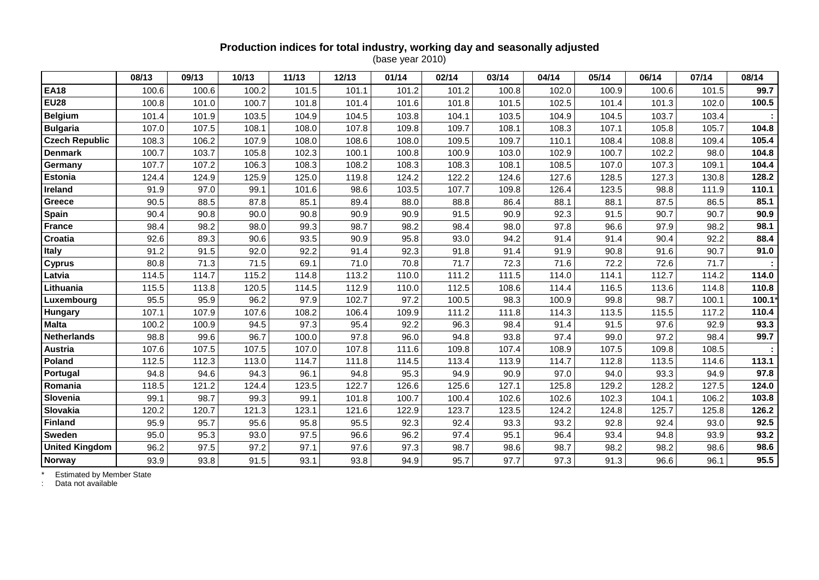### **Production indices for total industry, working day and seasonally adjusted** (base year 2010)

|                       | 08/13 | 09/13 | 10/13 | 11/13 | 12/13 | 01/14 | 02/14 | 03/14 | 04/14 | 05/14 | 06/14 | 07/14 | 08/14 |
|-----------------------|-------|-------|-------|-------|-------|-------|-------|-------|-------|-------|-------|-------|-------|
| <b>EA18</b>           | 100.6 | 100.6 | 100.2 | 101.5 | 101.1 | 101.2 | 101.2 | 100.8 | 102.0 | 100.9 | 100.6 | 101.5 | 99.7  |
| <b>EU28</b>           | 100.8 | 101.0 | 100.7 | 101.8 | 101.4 | 101.6 | 101.8 | 101.5 | 102.5 | 101.4 | 101.3 | 102.0 | 100.5 |
| <b>Belgium</b>        | 101.4 | 101.9 | 103.5 | 104.9 | 104.5 | 103.8 | 104.1 | 103.5 | 104.9 | 104.5 | 103.7 | 103.4 |       |
| <b>Bulgaria</b>       | 107.0 | 107.5 | 108.1 | 108.0 | 107.8 | 109.8 | 109.7 | 108.1 | 108.3 | 107.1 | 105.8 | 105.7 | 104.8 |
| <b>Czech Republic</b> | 108.3 | 106.2 | 107.9 | 108.0 | 108.6 | 108.0 | 109.5 | 109.7 | 110.1 | 108.4 | 108.8 | 109.4 | 105.4 |
| <b>Denmark</b>        | 100.7 | 103.7 | 105.8 | 102.3 | 100.1 | 100.8 | 100.9 | 103.0 | 102.9 | 100.7 | 102.2 | 98.0  | 104.8 |
| Germany               | 107.7 | 107.2 | 106.3 | 108.3 | 108.2 | 108.3 | 108.3 | 108.1 | 108.5 | 107.0 | 107.3 | 109.1 | 104.4 |
| <b>Estonia</b>        | 124.4 | 124.9 | 125.9 | 125.0 | 119.8 | 124.2 | 122.2 | 124.6 | 127.6 | 128.5 | 127.3 | 130.8 | 128.2 |
| Ireland               | 91.9  | 97.0  | 99.1  | 101.6 | 98.6  | 103.5 | 107.7 | 109.8 | 126.4 | 123.5 | 98.8  | 111.9 | 110.1 |
| Greece                | 90.5  | 88.5  | 87.8  | 85.1  | 89.4  | 88.0  | 88.8  | 86.4  | 88.1  | 88.1  | 87.5  | 86.5  | 85.1  |
| Spain                 | 90.4  | 90.8  | 90.0  | 90.8  | 90.9  | 90.9  | 91.5  | 90.9  | 92.3  | 91.5  | 90.7  | 90.7  | 90.9  |
| <b>France</b>         | 98.4  | 98.2  | 98.0  | 99.3  | 98.7  | 98.2  | 98.4  | 98.0  | 97.8  | 96.6  | 97.9  | 98.2  | 98.1  |
| <b>Croatia</b>        | 92.6  | 89.3  | 90.6  | 93.5  | 90.9  | 95.8  | 93.0  | 94.2  | 91.4  | 91.4  | 90.4  | 92.2  | 88.4  |
| <b>Italy</b>          | 91.2  | 91.5  | 92.0  | 92.2  | 91.4  | 92.3  | 91.8  | 91.4  | 91.9  | 90.8  | 91.6  | 90.7  | 91.0  |
| <b>Cyprus</b>         | 80.8  | 71.3  | 71.5  | 69.1  | 71.0  | 70.8  | 71.7  | 72.3  | 71.6  | 72.2  | 72.6  | 71.7  |       |
| Latvia                | 114.5 | 114.7 | 115.2 | 114.8 | 113.2 | 110.0 | 111.2 | 111.5 | 114.0 | 114.1 | 112.7 | 114.2 | 114.0 |
| Lithuania             | 115.5 | 113.8 | 120.5 | 114.5 | 112.9 | 110.0 | 112.5 | 108.6 | 114.4 | 116.5 | 113.6 | 114.8 | 110.8 |
| Luxembourg            | 95.5  | 95.9  | 96.2  | 97.9  | 102.7 | 97.2  | 100.5 | 98.3  | 100.9 | 99.8  | 98.7  | 100.1 | 100.1 |
| <b>Hungary</b>        | 107.1 | 107.9 | 107.6 | 108.2 | 106.4 | 109.9 | 111.2 | 111.8 | 114.3 | 113.5 | 115.5 | 117.2 | 110.4 |
| <b>Malta</b>          | 100.2 | 100.9 | 94.5  | 97.3  | 95.4  | 92.2  | 96.3  | 98.4  | 91.4  | 91.5  | 97.6  | 92.9  | 93.3  |
| <b>Netherlands</b>    | 98.8  | 99.6  | 96.7  | 100.0 | 97.8  | 96.0  | 94.8  | 93.8  | 97.4  | 99.0  | 97.2  | 98.4  | 99.7  |
| <b>Austria</b>        | 107.6 | 107.5 | 107.5 | 107.0 | 107.8 | 111.6 | 109.8 | 107.4 | 108.9 | 107.5 | 109.8 | 108.5 |       |
| Poland                | 112.5 | 112.3 | 113.0 | 114.7 | 111.8 | 114.5 | 113.4 | 113.9 | 114.7 | 112.8 | 113.5 | 114.6 | 113.1 |
| Portugal              | 94.8  | 94.6  | 94.3  | 96.1  | 94.8  | 95.3  | 94.9  | 90.9  | 97.0  | 94.0  | 93.3  | 94.9  | 97.8  |
| Romania               | 118.5 | 121.2 | 124.4 | 123.5 | 122.7 | 126.6 | 125.6 | 127.1 | 125.8 | 129.2 | 128.2 | 127.5 | 124.0 |
| Slovenia              | 99.1  | 98.7  | 99.3  | 99.1  | 101.8 | 100.7 | 100.4 | 102.6 | 102.6 | 102.3 | 104.1 | 106.2 | 103.8 |
| Slovakia              | 120.2 | 120.7 | 121.3 | 123.1 | 121.6 | 122.9 | 123.7 | 123.5 | 124.2 | 124.8 | 125.7 | 125.8 | 126.2 |
| <b>Finland</b>        | 95.9  | 95.7  | 95.6  | 95.8  | 95.5  | 92.3  | 92.4  | 93.3  | 93.2  | 92.8  | 92.4  | 93.0  | 92.5  |
| Sweden                | 95.0  | 95.3  | 93.0  | 97.5  | 96.6  | 96.2  | 97.4  | 95.1  | 96.4  | 93.4  | 94.8  | 93.9  | 93.2  |
| <b>United Kingdom</b> | 96.2  | 97.5  | 97.2  | 97.1  | 97.6  | 97.3  | 98.7  | 98.6  | 98.7  | 98.2  | 98.2  | 98.6  | 98.6  |
| <b>Norway</b>         | 93.9  | 93.8  | 91.5  | 93.1  | 93.8  | 94.9  | 95.7  | 97.7  | 97.3  | 91.3  | 96.6  | 96.1  | 95.5  |

\* Estimated by Member State